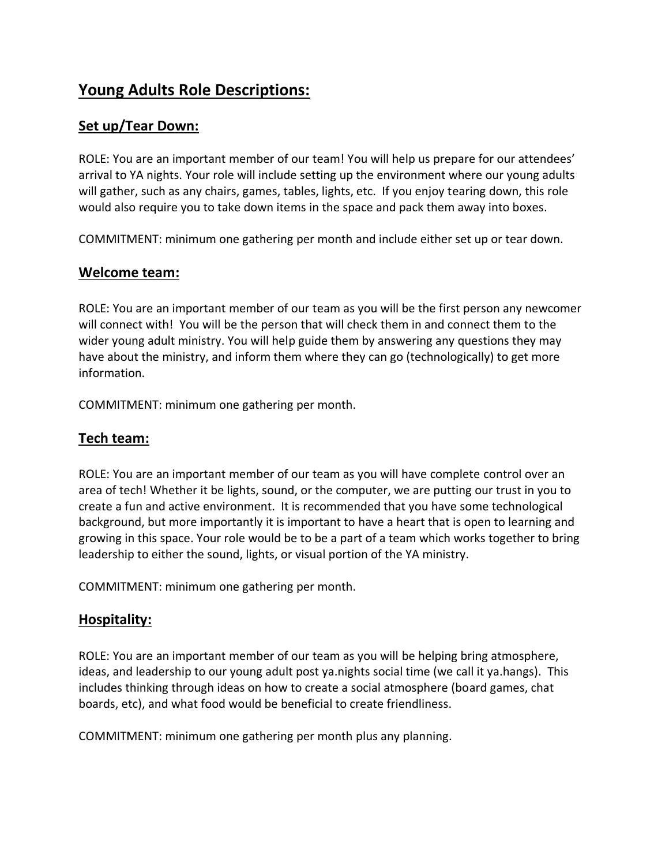# **Young Adults Role Descriptions:**

## **Set up/Tear Down:**

ROLE: You are an important member of our team! You will help us prepare for our attendees' arrival to YA nights. Your role will include setting up the environment where our young adults will gather, such as any chairs, games, tables, lights, etc. If you enjoy tearing down, this role would also require you to take down items in the space and pack them away into boxes.

COMMITMENT: minimum one gathering per month and include either set up or tear down.

#### **Welcome team:**

ROLE: You are an important member of our team as you will be the first person any newcomer will connect with! You will be the person that will check them in and connect them to the wider young adult ministry. You will help guide them by answering any questions they may have about the ministry, and inform them where they can go (technologically) to get more information.

COMMITMENT: minimum one gathering per month.

### **Tech team:**

ROLE: You are an important member of our team as you will have complete control over an area of tech! Whether it be lights, sound, or the computer, we are putting our trust in you to create a fun and active environment. It is recommended that you have some technological background, but more importantly it is important to have a heart that is open to learning and growing in this space. Your role would be to be a part of a team which works together to bring leadership to either the sound, lights, or visual portion of the YA ministry.

COMMITMENT: minimum one gathering per month.

#### **Hospitality:**

ROLE: You are an important member of our team as you will be helping bring atmosphere, ideas, and leadership to our young adult post ya.nights social time (we call it ya.hangs). This includes thinking through ideas on how to create a social atmosphere (board games, chat boards, etc), and what food would be beneficial to create friendliness.

COMMITMENT: minimum one gathering per month plus any planning.